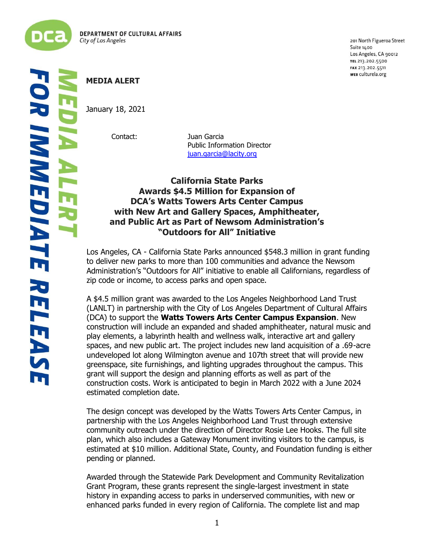

201 North Figueroa Street Suite 1400 Los Angeles, CA 90012 TEL 213.202.5500 FAX 213.202.5511 WEB culturela.org

# **MEDIA ALERT**

January 18, 2021

Contact: Juan Garcia Public Information Director [juan.garcia@lacity.org](mailto:juan.garcia@lacity.org)

## **California State Parks Awards \$4.5 Million for Expansion of DCA's Watts Towers Arts Center Campus with New Art and Gallery Spaces, Amphitheater, and Public Art as Part of Newsom Administration's "Outdoors for All" Initiative**

Los Angeles, CA - California State Parks announced \$548.3 million in grant funding to deliver new parks to more than 100 communities and advance the Newsom Administration's "Outdoors for All" initiative to enable all Californians, regardless of zip code or income, to access parks and open space.

A \$4.5 million grant was awarded to the Los Angeles Neighborhood Land Trust (LANLT) in partnership with the City of Los Angeles Department of Cultural Affairs (DCA) to support the **Watts Towers Arts Center Campus Expansion**. New construction will include an expanded and shaded amphitheater, natural music and play elements, a labyrinth health and wellness walk, interactive art and gallery spaces, and new public art. The project includes new land acquisition of a .69-acre undeveloped lot along Wilmington avenue and 107th street that will provide new greenspace, site furnishings, and lighting upgrades throughout the campus. This grant will support the design and planning efforts as well as part of the construction costs. Work is anticipated to begin in March 2022 with a June 2024 estimated completion date.

The design concept was developed by the Watts Towers Arts Center Campus, in partnership with the Los Angeles Neighborhood Land Trust through extensive community outreach under the direction of Director Rosie Lee Hooks. The full site plan, which also includes a Gateway Monument inviting visitors to the campus, is estimated at \$10 million. Additional State, County, and Foundation funding is either pending or planned.

Awarded through the Statewide Park Development and Community Revitalization Grant Program, these grants represent the single-largest investment in state history in expanding access to parks in underserved communities, with new or enhanced parks funded in every region of California. The complete list and map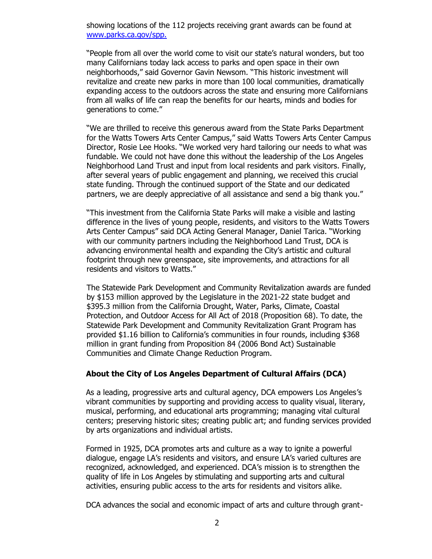showing locations of the 112 projects receiving grant awards can be found at [www.parks.ca.gov/spp.](https://lnks.gd/l/eyJhbGciOiJIUzI1NiJ9.eyJidWxsZXRpbl9saW5rX2lkIjoxMDEsInVyaSI6ImJwMjpjbGljayIsImJ1bGxldGluX2lkIjoiMjAyMTEyMDguNDk5ODk1NjEiLCJ1cmwiOiJodHRwOi8vd3d3LnBhcmtzLmNhLmdvdi9zcHA_dXRtX21lZGl1bT1lbWFpbCZ1dG1fc291cmNlPWdvdmRlbGl2ZXJ5In0.3RQLW_OnoFx6UbQK_7cG89UIv4im2iXMdiDDWHlZsb0/s/1821939070/br/122598577317-l)

"People from all over the world come to visit our state's natural wonders, but too many Californians today lack access to parks and open space in their own neighborhoods," said Governor Gavin Newsom. "This historic investment will revitalize and create new parks in more than 100 local communities, dramatically expanding access to the outdoors across the state and ensuring more Californians from all walks of life can reap the benefits for our hearts, minds and bodies for generations to come."

"We are thrilled to receive this generous award from the State Parks Department for the Watts Towers Arts Center Campus," said Watts Towers Arts Center Campus Director, Rosie Lee Hooks. "We worked very hard tailoring our needs to what was fundable. We could not have done this without the leadership of the Los Angeles Neighborhood Land Trust and input from local residents and park visitors. Finally, after several years of public engagement and planning, we received this crucial state funding. Through the continued support of the State and our dedicated partners, we are deeply appreciative of all assistance and send a big thank you."

"This investment from the California State Parks will make a visible and lasting difference in the lives of young people, residents, and visitors to the Watts Towers Arts Center Campus" said DCA Acting General Manager, Daniel Tarica. "Working with our community partners including the Neighborhood Land Trust, DCA is advancing environmental health and expanding the City's artistic and cultural footprint through new greenspace, site improvements, and attractions for all residents and visitors to Watts."

The Statewide Park Development and Community Revitalization awards are funded by \$153 million approved by the Legislature in the 2021-22 state budget and \$395.3 million from the California Drought, Water, Parks, Climate, Coastal Protection, and Outdoor Access for All Act of 2018 (Proposition 68). To date, the Statewide Park Development and Community Revitalization Grant Program has provided \$1.16 billion to California's communities in four rounds, including \$368 million in grant funding from Proposition 84 (2006 Bond Act) Sustainable Communities and Climate Change Reduction Program.

#### **About the City of Los Angeles Department of Cultural Affairs (DCA)**

As a leading, progressive arts and cultural agency, DCA empowers Los Angeles's vibrant communities by supporting and providing access to quality visual, literary, musical, performing, and educational arts programming; managing vital cultural centers; preserving historic sites; creating public art; and funding services provided by arts organizations and individual artists.

Formed in 1925, DCA promotes arts and culture as a way to ignite a powerful dialogue, engage LA's residents and visitors, and ensure LA's varied cultures are recognized, acknowledged, and experienced. DCA's mission is to strengthen the quality of life in Los Angeles by stimulating and supporting arts and cultural activities, ensuring public access to the arts for residents and visitors alike.

DCA advances the social and economic impact of arts and culture through grant-